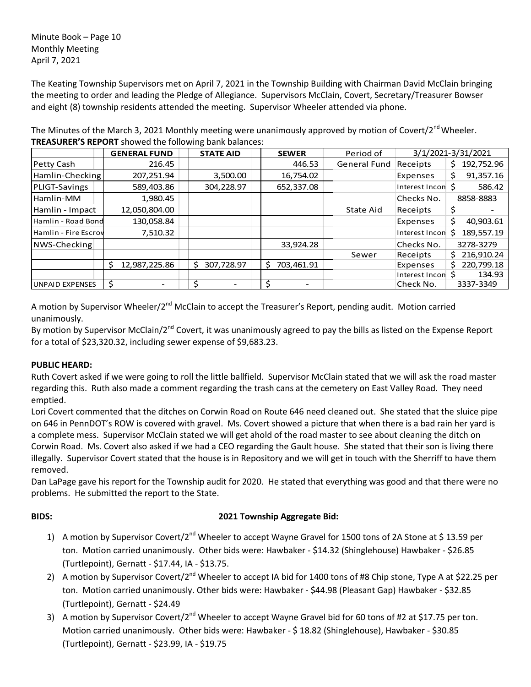Minute Book – Page 10 Monthly Meeting April 7, 2021

The Keating Township Supervisors met on April 7, 2021 in the Township Building with Chairman David McClain bringing the meeting to order and leading the Pledge of Allegiance. Supervisors McClain, Covert, Secretary/Treasurer Bowser and eight (8) township residents attended the meeting. Supervisor Wheeler attended via phone.

|                        | <b>GENERAL FUND</b> | <b>STATE AID</b> | <b>SEWER</b>     | Period of           | 3/1/2021-3/31/2021 |                  |
|------------------------|---------------------|------------------|------------------|---------------------|--------------------|------------------|
| Petty Cash             | 216.45              |                  | 446.53           | <b>General Fund</b> | Receipts           | 192,752.96<br>Ş. |
| Hamlin-Checking        | 207,251.94          | 3,500.00         | 16,754.02        |                     | Expenses           | 91,357.16<br>\$  |
| PLIGT-Savings          | 589,403.86          | 304,228.97       | 652,337.08       |                     | Interest Incon S   | 586.42           |
| Hamlin-MM              | 1,980.45            |                  |                  |                     | Checks No.         | 8858-8883        |
| Hamlin - Impact        | 12,050,804.00       |                  |                  | State Aid           | Receipts           | Ş                |
| Hamlin - Road Bond     | 130,058.84          |                  |                  |                     | Expenses           | \$<br>40,903.61  |
| Hamlin - Fire Escrov   | 7,510.32            |                  |                  |                     | Interest Incon     | 189,557.19<br>Ś  |
| NWS-Checking           |                     |                  | 33,924.28        |                     | Checks No.         | 3278-3279        |
|                        |                     |                  |                  | Sewer               | Receipts           | 216,910.24<br>S. |
|                        | \$<br>12,987,225.86 | 307,728.97       | 703,461.91<br>S. |                     | Expenses           | 220,799.18<br>S. |
|                        |                     |                  |                  |                     | Interest Incon     | 134.93<br>S      |
| <b>UNPAID EXPENSES</b> | \$                  |                  | \$               |                     | Check No.          | 3337-3349        |

The Minutes of the March 3, 2021 Monthly meeting were unanimously approved by motion of Covert/2<sup>nd</sup> Wheeler. **TREASURER'S REPORT** showed the following bank balances:

A motion by Supervisor Wheeler/2<sup>nd</sup> McClain to accept the Treasurer's Report, pending audit. Motion carried unanimously.

By motion by Supervisor McClain/2<sup>nd</sup> Covert, it was unanimously agreed to pay the bills as listed on the Expense Report for a total of \$23,320.32, including sewer expense of \$9,683.23.

# **PUBLIC HEARD:**

Ruth Covert asked if we were going to roll the little ballfield. Supervisor McClain stated that we will ask the road master regarding this. Ruth also made a comment regarding the trash cans at the cemetery on East Valley Road. They need emptied.

Lori Covert commented that the ditches on Corwin Road on Route 646 need cleaned out. She stated that the sluice pipe on 646 in PennDOT's ROW is covered with gravel. Ms. Covert showed a picture that when there is a bad rain her yard is a complete mess. Supervisor McClain stated we will get ahold of the road master to see about cleaning the ditch on Corwin Road. Ms. Covert also asked if we had a CEO regarding the Gault house. She stated that their son is living there illegally. Supervisor Covert stated that the house is in Repository and we will get in touch with the Sherriff to have them removed.

Dan LaPage gave his report for the Township audit for 2020. He stated that everything was good and that there were no problems. He submitted the report to the State.

# **BIDS: 2021 Township Aggregate Bid:**

- 1) A motion by Supervisor Covert/2<sup>nd</sup> Wheeler to accept Wayne Gravel for 1500 tons of 2A Stone at \$ 13.59 per ton. Motion carried unanimously. Other bids were: Hawbaker - \$14.32 (Shinglehouse) Hawbaker - \$26.85 (Turtlepoint), Gernatt - \$17.44, IA - \$13.75.
- 2) A motion by Supervisor Covert/2<sup>nd</sup> Wheeler to accept IA bid for 1400 tons of #8 Chip stone, Type A at \$22.25 per ton. Motion carried unanimously. Other bids were: Hawbaker - \$44.98 (Pleasant Gap) Hawbaker - \$32.85 (Turtlepoint), Gernatt - \$24.49
- 3) A motion by Supervisor Covert/2<sup>nd</sup> Wheeler to accept Wayne Gravel bid for 60 tons of #2 at \$17.75 per ton. Motion carried unanimously. Other bids were: Hawbaker - \$ 18.82 (Shinglehouse), Hawbaker - \$30.85 (Turtlepoint), Gernatt - \$23.99, IA - \$19.75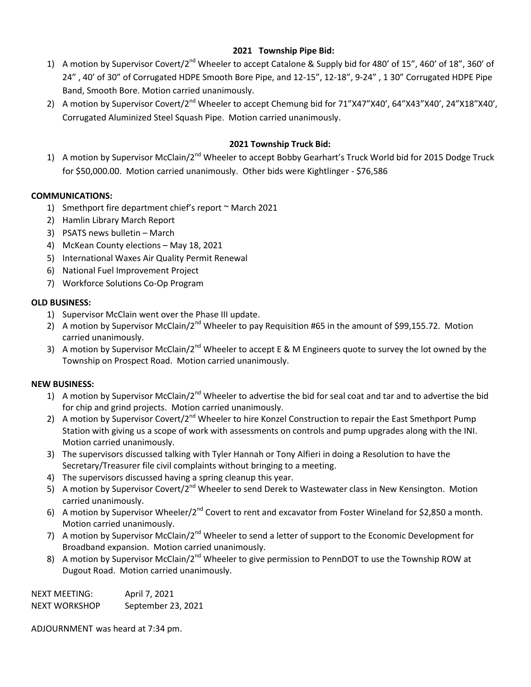# **2021 Township Pipe Bid:**

- 1) A motion by Supervisor Covert/2<sup>nd</sup> Wheeler to accept Catalone & Supply bid for 480' of 15", 460' of 18", 360' of 24" , 40' of 30" of Corrugated HDPE Smooth Bore Pipe, and 12-15", 12-18", 9-24" , 1 30" Corrugated HDPE Pipe Band, Smooth Bore. Motion carried unanimously.
- 2) A motion by Supervisor Covert/2<sup>nd</sup> Wheeler to accept Chemung bid for 71"X47"X40', 64"X43"X40', 24"X18"X40', Corrugated Aluminized Steel Squash Pipe. Motion carried unanimously.

# **2021 Township Truck Bid:**

1) A motion by Supervisor McClain/2<sup>nd</sup> Wheeler to accept Bobby Gearhart's Truck World bid for 2015 Dodge Truck for \$50,000.00. Motion carried unanimously. Other bids were Kightlinger - \$76,586

## **COMMUNICATIONS:**

- 1) Smethport fire department chief's report ~ March 2021
- 2) Hamlin Library March Report
- 3) PSATS news bulletin March
- 4) McKean County elections May 18, 2021
- 5) International Waxes Air Quality Permit Renewal
- 6) National Fuel Improvement Project
- 7) Workforce Solutions Co-Op Program

### **OLD BUSINESS:**

- 1) Supervisor McClain went over the Phase III update.
- 2) A motion by Supervisor McClain/2<sup>nd</sup> Wheeler to pay Requisition #65 in the amount of \$99,155.72. Motion carried unanimously.
- 3) A motion by Supervisor McClain/2<sup>nd</sup> Wheeler to accept E & M Engineers quote to survey the lot owned by the Township on Prospect Road. Motion carried unanimously.

### **NEW BUSINESS:**

- 1) A motion by Supervisor McClain/2<sup>nd</sup> Wheeler to advertise the bid for seal coat and tar and to advertise the bid for chip and grind projects. Motion carried unanimously.
- 2) A motion by Supervisor Covert/2<sup>nd</sup> Wheeler to hire Konzel Construction to repair the East Smethport Pump Station with giving us a scope of work with assessments on controls and pump upgrades along with the INI. Motion carried unanimously.
- 3) The supervisors discussed talking with Tyler Hannah or Tony Alfieri in doing a Resolution to have the Secretary/Treasurer file civil complaints without bringing to a meeting.
- 4) The supervisors discussed having a spring cleanup this year.
- 5) A motion by Supervisor Covert/2<sup>nd</sup> Wheeler to send Derek to Wastewater class in New Kensington. Motion carried unanimously.
- 6) A motion by Supervisor Wheeler/2<sup>nd</sup> Covert to rent and excavator from Foster Wineland for \$2,850 a month. Motion carried unanimously.
- 7) A motion by Supervisor McClain/2<sup>nd</sup> Wheeler to send a letter of support to the Economic Development for Broadband expansion. Motion carried unanimously.
- 8) A motion by Supervisor McClain/2<sup>nd</sup> Wheeler to give permission to PennDOT to use the Township ROW at Dugout Road. Motion carried unanimously.

NEXT MEETING: April 7, 2021 NEXT WORKSHOP September 23, 2021

ADJOURNMENT was heard at 7:34 pm.